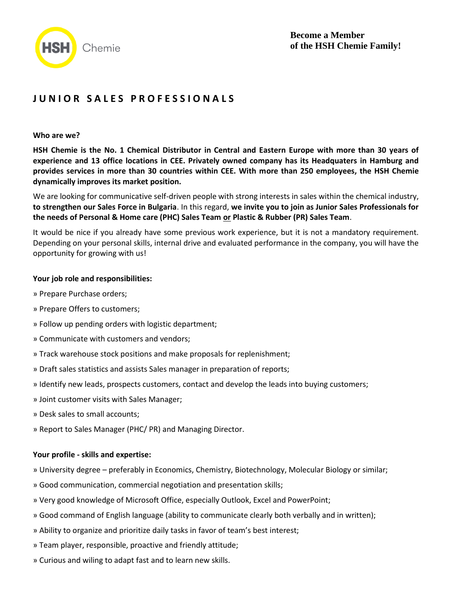

# **J U N I O R S A L E S P R O F E S S I O N A L S**

#### **Who are we?**

**HSH Chemie is the No. 1 Chemical Distributor in Central and Eastern Europe with more than 30 years of experience and 13 office locations in CEE. Privately owned company has its Headquaters in Hamburg and provides services in more than 30 countries within CEE. With more than 250 employees, the HSH Chemie dynamically improves its market position.**

We are looking for communicative self-driven people with strong interests in sales within the chemical industry, **to strengthen our Sales Force in Bulgaria**. In this regard, **we invite you to join as Junior Sales Professionals for the needs of Personal & Home care (PHC) Sales Team or Plastic & Rubber (PR) Sales Team**.

It would be nice if you already have some previous work experience, but it is not a mandatory requirement. Depending on your personal skills, internal drive and evaluated performance in the company, you will have the opportunity for growing with us!

#### **Your job role and responsibilities:**

- » Prepare Purchase orders;
- » Prepare Offers to customers;
- » Follow up pending orders with logistic department;
- » Communicate with customers and vendors;
- » Track warehouse stock positions and make proposals for replenishment;
- » Draft sales statistics and assists Sales manager in preparation of reports;
- » Identify new leads, prospects customers, contact and develop the leads into buying customers;
- » Joint customer visits with Sales Manager;
- » Desk sales to small accounts;
- » Report to Sales Manager (PHC/ PR) and Managing Director.

#### **Your profile - skills and expertise:**

- » University degree preferably in Economics, Chemistry, Biotechnology, Molecular Biology or similar;
- » Good communication, commercial negotiation and presentation skills;
- » Very good knowledge of Microsoft Office, especially Outlook, Excel and PowerPoint;
- » Good command of English language (ability to communicate clearly both verbally and in written);
- » Ability to organize and prioritize daily tasks in favor of team's best interest;
- » Team player, responsible, proactive and friendly attitude;
- » Curious and wiling to adapt fast and to learn new skills.